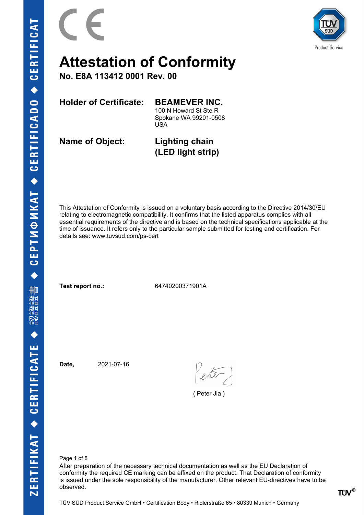



**No. E8A 113412 0001 Rev. 00**

**Holder of Certificate: BEAMEVER INC.**

100 N Howard St Ste R

Spokane WA 99201-0508 USA

**Name of Object: Lighting chain**

**(LED light strip)**

This Attestation of Conformity is issued on a voluntary basis according to the Directive 2014/30/EU relating to electromagnetic compatibility. It confirms that the listed apparatus complies with all essential requirements of the directive and is based on the technical specifications applicable at the time of issuance. It refers only to the particular sample submitted for testing and certification. For details see: www.tuvsud.com/ps-cert

**Test report no.:** 64740200371901A

**Date,** 2021-07-16

( Peter Jia )

Page 1 of 8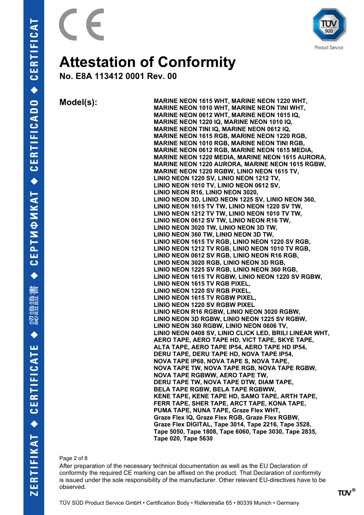

**No. E8A 113412 0001 Rev. 00**

**Model(s): MARINE NEON 1615 WHT, MARINE NEON 1220 WHT, MARINE NEON 1010 WHT, MARINE NEON TINI WHT, MARINE NEON 0612 WHT, MARINE NEON 1615 IQ, MARINE NEON 1220 IQ, MARINE NEON 1010 IQ, MARINE NEON TINI IQ, MARINE NEON 0612 IQ, MARINE NEON 1615 RGB, MARINE NEON 1220 RGB, MARINE NEON 1010 RGB, MARINE NEON TINI RGB, MARINE NEON 0612 RGB, MARINE NEON 1615 MEDIA, MARINE NEON 1220 MEDIA, MARINE NEON 1615 AURORA, MARINE NEON 1220 AURORA, MARINE NEON 1615 RGBW, MARINE NEON 1220 RGBW, LINIO NEON 1615 TV, LINIO NEON 1220 SV, LINIO NEON 1212 TV, LINIO NEON 1010 TV, LINIO NEON 0612 SV, LINIO NEON R16, LINIO NEON 3020, LINIO NEON 3D, LINIO NEON 1225 SV, LINIO NEON 360, LINIO NEON 1615 TV TW, LINIO NEON 1220 SV TW, LINIO NEON 1212 TV TW, LINIO NEON 1010 TV TW, LINIO NEON 0612 SV TW, LINIO NEON R16 TW, LINIO NEON 3020 TW, LINIO NEON 3D TW, LINIO NEON 360 TW, LINIO NEON 3D TW, LINIO NEON 1615 TV RGB, LINIO NEON 1220 SV RGB, LINIO NEON 1212 TV RGB, LINIO NEON 1010 TV RGB, LINIO NEON 0612 SV RGB, LINIO NEON R16 RGB, LINIO NEON 3020 RGB, LINIO NEON 3D RGB, LINIO NEON 1225 SV RGB, LINIO NEON 360 RGB, LINIO NEON 1615 TV RGBW, LINIO NEON 1220 SV RGBW, LINIO NEON 1615 TV RGB PIXEL, LINIO NEON 1220 SV RGB PIXEL, LINIO NEON 1615 TV RGBW PIXEL, LINIO NEON 1220 SV RGBW PIXEL LINIO NEON R16 RGBW, LINIO NEON 3020 RGBW, LINIO NEON 3D RGBW, LINIO NEON 1225 SV RGBW, LINIO NEON 360 RGBW, LINIO NEON 0606 TV, LINIO NEON 0408 SV, LINIO CLICK LED, BRILI LINEAR WHT, AERO TAPE, AERO TAPE HD, VICT TAPE, SKYE TAPE, ALTA TAPE, AERO TAPE IP54, AERO TAPE HD IP54, DERU TAPE, DERU TAPE HD, NOVA TAPE IP54, NOVA TAPE IP68, NOVA TAPE S, NOVA TAPE, NOVA TAPE TW, NOVA TAPE RGB, NOVA TAPE RGBW, NOVA TAPE RGBWW, AERO TAPE TW, DERU TAPE TW, NOVA TAPE DTW, DIAM TAPE, BELA TAPE RGBW, BELA TAPE RGBWW, KENE TAPE, KENE TAPE HD, SAMO TAPE, ARTH TAPE, FERR TAPE, SHER TAPE, ARCT TAPE, KONA TAPE, PUMA TAPE, NUNA TAPE, Graze Flex WHT, Graze Flex IQ, Graze Flex RGB, Graze Flex RGBW, Graze Flex DIGITAL, Tape 3014, Tape 2216, Tape 3528, Tape 5050, Tape 1808, Tape 6060, Tape 3030, Tape 2835, Tape 020, Tape 5630**

#### Page 2 of 8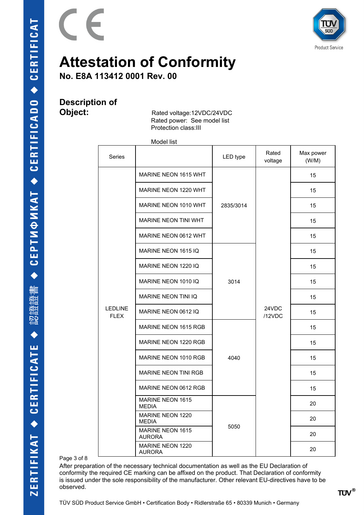

**No. E8A 113412 0001 Rev. 00**

# **Description of**

 $\epsilon$ 

**Object:** Rated voltage:12VDC/24VDC Rated power: See model list Protection class:III

Model list

| Series                        |                                          | LED type  | Rated<br>voltage | Max power<br>(W/M) |
|-------------------------------|------------------------------------------|-----------|------------------|--------------------|
|                               | <b>MARINE NEON 1615 WHT</b>              | 2835/3014 | 24VDC<br>/12VDC  | 15                 |
|                               | MARINE NEON 1220 WHT                     |           |                  | 15                 |
|                               | MARINE NEON 1010 WHT                     |           |                  | 15                 |
|                               | <b>MARINE NEON TINI WHT</b>              |           |                  | 15                 |
|                               | MARINE NEON 0612 WHT                     |           |                  | 15                 |
|                               | MARINE NEON 1615 IQ                      |           |                  | 15                 |
|                               | MARINE NEON 1220 IQ                      | 3014      |                  | 15                 |
| <b>LEDLINE</b><br><b>FLEX</b> | MARINE NEON 1010 IQ                      |           |                  | 15                 |
|                               | MARINE NEON TINI IQ                      |           |                  | 15                 |
|                               | MARINE NEON 0612 IQ                      |           |                  | 15                 |
|                               | <b>MARINE NEON 1615 RGB</b>              | 4040      |                  | 15                 |
|                               | MARINE NEON 1220 RGB                     |           |                  | 15                 |
|                               | MARINE NEON 1010 RGB                     |           |                  | 15                 |
|                               | <b>MARINE NEON TINI RGB</b>              |           |                  | 15                 |
|                               | MARINE NEON 0612 RGB                     |           |                  | 15                 |
|                               | MARINE NEON 1615<br><b>MEDIA</b>         | 5050      |                  | 20                 |
|                               | <b>MARINE NEON 1220</b><br><b>MEDIA</b>  |           |                  | 20                 |
|                               | <b>MARINE NEON 1615</b><br><b>AURORA</b> |           |                  | 20                 |
|                               | <b>MARINE NEON 1220</b><br><b>AURORA</b> |           |                  | 20                 |

Page 3 of 8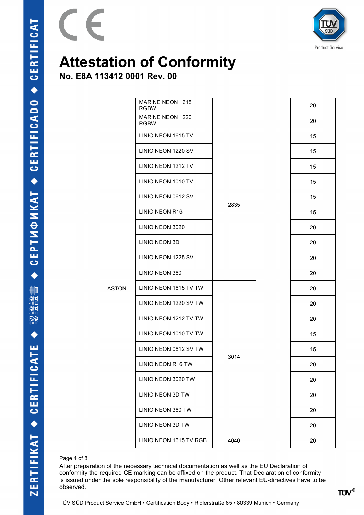

**No. E8A 113412 0001 Rev. 00**

 $\epsilon$ 

|              | MARINE NEON 1615<br><b>RGBW</b> |      |  | 20 |
|--------------|---------------------------------|------|--|----|
|              | MARINE NEON 1220<br><b>RGBW</b> |      |  | 20 |
|              | LINIO NEON 1615 TV              |      |  | 15 |
|              | LINIO NEON 1220 SV              |      |  | 15 |
|              | LINIO NEON 1212 TV              |      |  | 15 |
|              | LINIO NEON 1010 TV              |      |  | 15 |
|              | LINIO NEON 0612 SV              |      |  | 15 |
|              | LINIO NEON R16                  | 2835 |  | 15 |
|              | LINIO NEON 3020                 |      |  | 20 |
|              | LINIO NEON 3D                   |      |  | 20 |
|              | LINIO NEON 1225 SV              |      |  | 20 |
|              | LINIO NEON 360                  |      |  | 20 |
| <b>ASTON</b> | LINIO NEON 1615 TV TW           | 3014 |  | 20 |
|              | LINIO NEON 1220 SV TW           |      |  | 20 |
|              | LINIO NEON 1212 TV TW           |      |  | 20 |
|              | LINIO NEON 1010 TV TW           |      |  | 15 |
|              | LINIO NEON 0612 SV TW           |      |  | 15 |
|              | LINIO NEON R16 TW               |      |  | 20 |
|              | LINIO NEON 3020 TW              |      |  | 20 |
|              | LINIO NEON 3D TW                |      |  | 20 |
|              | LINIO NEON 360 TW               |      |  | 20 |
|              | LINIO NEON 3D TW                |      |  | 20 |
|              | LINIO NEON 1615 TV RGB          | 4040 |  | 20 |

#### Page 4 of 8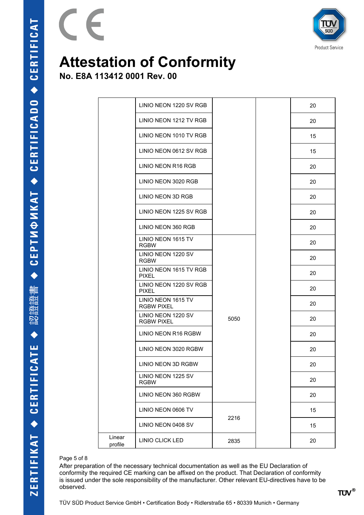

**No. E8A 113412 0001 Rev. 00**

 $\epsilon$ 

|                   | LINIO NEON 1220 SV RGB                  |      | 20 |
|-------------------|-----------------------------------------|------|----|
|                   | LINIO NEON 1212 TV RGB                  |      | 20 |
|                   | LINIO NEON 1010 TV RGB                  |      | 15 |
|                   | LINIO NEON 0612 SV RGB                  |      | 15 |
|                   | LINIO NEON R16 RGB                      |      | 20 |
|                   | LINIO NEON 3020 RGB                     |      | 20 |
|                   | LINIO NEON 3D RGB                       |      | 20 |
|                   | LINIO NEON 1225 SV RGB                  |      | 20 |
|                   | LINIO NEON 360 RGB                      |      | 20 |
|                   | LINIO NEON 1615 TV<br><b>RGBW</b>       |      | 20 |
|                   | LINIO NEON 1220 SV<br><b>RGBW</b>       |      | 20 |
|                   | LINIO NEON 1615 TV RGB<br><b>PIXEL</b>  |      | 20 |
|                   | LINIO NEON 1220 SV RGB<br><b>PIXEL</b>  |      | 20 |
|                   | LINIO NEON 1615 TV<br><b>RGBW PIXEL</b> |      | 20 |
|                   | LINIO NEON 1220 SV<br><b>RGBW PIXEL</b> | 5050 | 20 |
|                   | LINIO NEON R16 RGBW                     |      | 20 |
|                   | LINIO NEON 3020 RGBW                    |      | 20 |
|                   | LINIO NEON 3D RGBW                      |      | 20 |
|                   | LINIO NEON 1225 SV<br><b>RGBW</b>       |      | 20 |
|                   | LINIO NEON 360 RGBW                     |      | 20 |
|                   | LINIO NEON 0606 TV                      |      | 15 |
|                   | LINIO NEON 0408 SV                      | 2216 | 15 |
| Linear<br>profile | <b>LINIO CLICK LED</b>                  | 2835 | 20 |
|                   |                                         |      |    |

### Page 5 of 8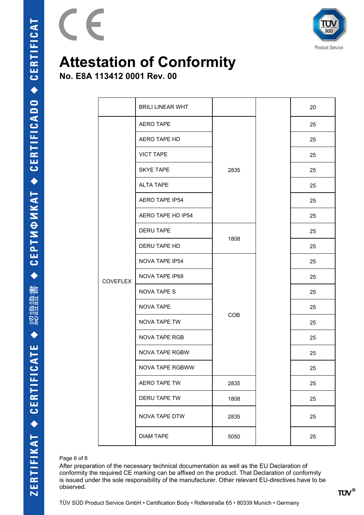

**No. E8A 113412 0001 Rev. 00**

 $\epsilon$ 

|                 | <b>BRILI LINEAR WHT</b> |      |  | 20 |
|-----------------|-------------------------|------|--|----|
|                 | <b>AERO TAPE</b>        | 2835 |  | 25 |
|                 | AERO TAPE HD            |      |  | 25 |
|                 | <b>VICT TAPE</b>        |      |  | 25 |
|                 | <b>SKYE TAPE</b>        |      |  | 25 |
|                 | <b>ALTA TAPE</b>        |      |  | 25 |
|                 | AERO TAPE IP54          |      |  | 25 |
|                 | AERO TAPE HD IP54       |      |  | 25 |
|                 | <b>DERU TAPE</b>        |      |  | 25 |
|                 | DERU TAPE HD            | 1808 |  | 25 |
|                 | NOVA TAPE IP54          | COB  |  | 25 |
| <b>COVEFLEX</b> | NOVA TAPE IP68          |      |  | 25 |
|                 | <b>NOVA TAPE S</b>      |      |  | 25 |
|                 | <b>NOVA TAPE</b>        |      |  | 25 |
|                 | NOVA TAPE TW            |      |  | 25 |
|                 | <b>NOVA TAPE RGB</b>    |      |  | 25 |
|                 | NOVA TAPE RGBW          |      |  | 25 |
|                 | NOVA TAPE RGBWW         |      |  | 25 |
|                 | AERO TAPE TW            | 2835 |  | 25 |
|                 | DERU TAPE TW            | 1808 |  | 25 |
|                 | NOVA TAPE DTW           | 2835 |  | 25 |
|                 | <b>DIAM TAPE</b>        | 5050 |  | 25 |

### Page 6 of 8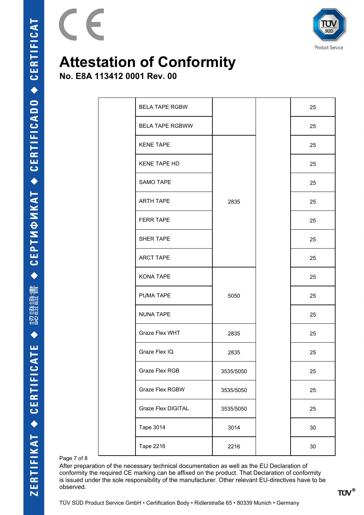

**No. E8A 113412 0001 Rev. 00**

 $\epsilon$ 

| <b>BELA TAPE RGBW</b>  |           | 25     |
|------------------------|-----------|--------|
| <b>BELA TAPE RGBWW</b> |           | 25     |
| <b>KENE TAPE</b>       |           | 25     |
| KENE TAPE HD           |           | 25     |
| <b>SAMO TAPE</b>       |           | 25     |
| <b>ARTH TAPE</b>       | 2835      | 25     |
| <b>FERR TAPE</b>       |           | 25     |
| <b>SHER TAPE</b>       |           | 25     |
| <b>ARCT TAPE</b>       |           | 25     |
| KONA TAPE              |           | 25     |
| PUMA TAPE              | 5050      | 25     |
| <b>NUNA TAPE</b>       |           | 25     |
| Graze Flex WHT         | 2835      | 25     |
| Graze Flex IQ          | 2835      | 25     |
| Graze Flex RGB         | 3535/5050 | 25     |
| Graze Flex RGBW        | 3535/5050 | 25     |
| Graze Flex DIGITAL     | 3535/5050 | 25     |
| <b>Tape 3014</b>       | 3014      | 30     |
| <b>Tape 2216</b>       | 2216      | $30\,$ |

Page 7 of 8